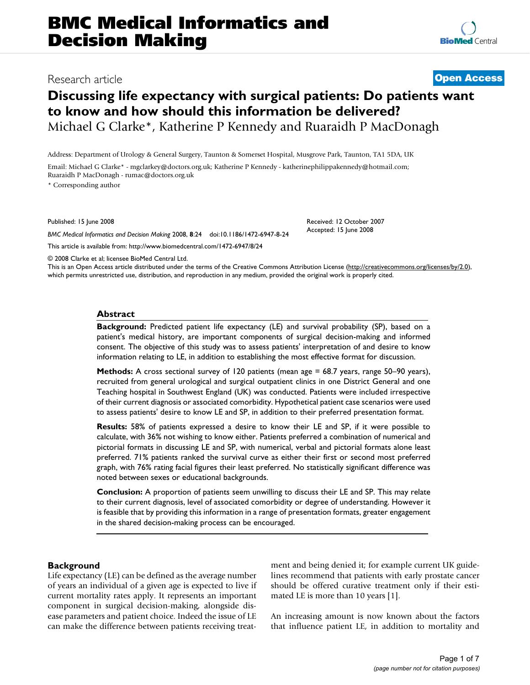# **Discussing life expectancy with surgical patients: Do patients want to know and how should this information be delivered?** Michael G Clarke\*, Katherine P Kennedy and Ruaraidh P MacDonagh

Address: Department of Urology & General Surgery, Taunton & Somerset Hospital, Musgrove Park, Taunton, TA1 5DA, UK

Email: Michael G Clarke\* - mgclarkey@doctors.org.uk; Katherine P Kennedy - katherinephilippakennedy@hotmail.com; Ruaraidh P MacDonagh - rumac@doctors.org.uk

\* Corresponding author

Published: 15 June 2008

*BMC Medical Informatics and Decision Making* 2008, **8**:24 doi:10.1186/1472-6947-8-24

[This article is available from: http://www.biomedcentral.com/1472-6947/8/24](http://www.biomedcentral.com/1472-6947/8/24)

© 2008 Clarke et al; licensee BioMed Central Ltd.

This is an Open Access article distributed under the terms of the Creative Commons Attribution License [\(http://creativecommons.org/licenses/by/2.0\)](http://creativecommons.org/licenses/by/2.0), which permits unrestricted use, distribution, and reproduction in any medium, provided the original work is properly cited.

#### **Abstract**

**Background:** Predicted patient life expectancy (LE) and survival probability (SP), based on a patient's medical history, are important components of surgical decision-making and informed consent. The objective of this study was to assess patients' interpretation of and desire to know information relating to LE, in addition to establishing the most effective format for discussion.

**Methods:** A cross sectional survey of 120 patients (mean age = 68.7 years, range 50–90 years), recruited from general urological and surgical outpatient clinics in one District General and one Teaching hospital in Southwest England (UK) was conducted. Patients were included irrespective of their current diagnosis or associated comorbidity. Hypothetical patient case scenarios were used to assess patients' desire to know LE and SP, in addition to their preferred presentation format.

**Results:** 58% of patients expressed a desire to know their LE and SP, if it were possible to calculate, with 36% not wishing to know either. Patients preferred a combination of numerical and pictorial formats in discussing LE and SP, with numerical, verbal and pictorial formats alone least preferred. 71% patients ranked the survival curve as either their first or second most preferred graph, with 76% rating facial figures their least preferred. No statistically significant difference was noted between sexes or educational backgrounds.

**Conclusion:** A proportion of patients seem unwilling to discuss their LE and SP. This may relate to their current diagnosis, level of associated comorbidity or degree of understanding. However it is feasible that by providing this information in a range of presentation formats, greater engagement in the shared decision-making process can be encouraged.

### **Background**

Life expectancy (LE) can be defined as the average number of years an individual of a given age is expected to live if current mortality rates apply. It represents an important component in surgical decision-making, alongside disease parameters and patient choice. Indeed the issue of LE can make the difference between patients receiving treatment and being denied it; for example current UK guidelines recommend that patients with early prostate cancer should be offered curative treatment only if their estimated LE is more than 10 years [1].

An increasing amount is now known about the factors that influence patient LE, in addition to mortality and



## Research article **[Open Access](http://www.biomedcentral.com/info/about/charter/)**

Received: 12 October 2007 Accepted: 15 June 2008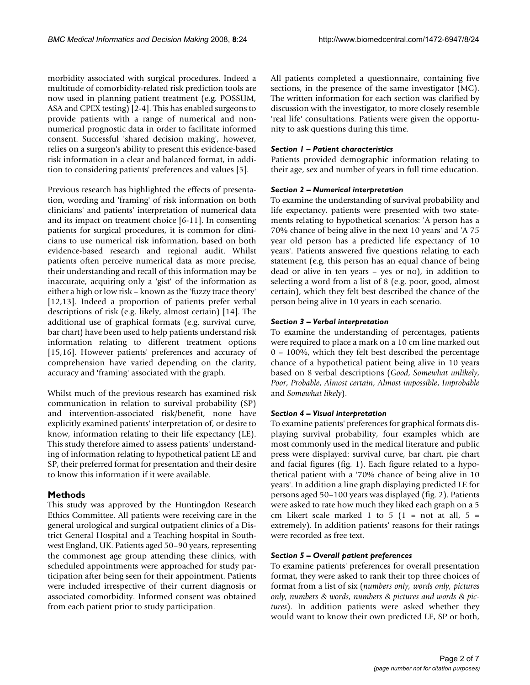morbidity associated with surgical procedures. Indeed a multitude of comorbidity-related risk prediction tools are now used in planning patient treatment (e.g. POSSUM, ASA and CPEX testing) [2-4]. This has enabled surgeons to provide patients with a range of numerical and nonnumerical prognostic data in order to facilitate informed consent. Successful 'shared decision making', however, relies on a surgeon's ability to present this evidence-based risk information in a clear and balanced format, in addition to considering patients' preferences and values [5].

Previous research has highlighted the effects of presentation, wording and 'framing' of risk information on both clinicians' and patients' interpretation of numerical data and its impact on treatment choice [6-11]. In consenting patients for surgical procedures, it is common for clinicians to use numerical risk information, based on both evidence-based research and regional audit. Whilst patients often perceive numerical data as more precise, their understanding and recall of this information may be inaccurate, acquiring only a 'gist' of the information as either a high or low risk – known as the 'fuzzy trace theory' [12,13]. Indeed a proportion of patients prefer verbal descriptions of risk (e.g. likely, almost certain) [14]. The additional use of graphical formats (e.g. survival curve, bar chart) have been used to help patients understand risk information relating to different treatment options [15,16]. However patients' preferences and accuracy of comprehension have varied depending on the clarity, accuracy and 'framing' associated with the graph.

Whilst much of the previous research has examined risk communication in relation to survival probability (SP) and intervention-associated risk/benefit, none have explicitly examined patients' interpretation of, or desire to know, information relating to their life expectancy (LE). This study therefore aimed to assess patients' understanding of information relating to hypothetical patient LE and SP, their preferred format for presentation and their desire to know this information if it were available.

### **Methods**

This study was approved by the Huntingdon Research Ethics Committee. All patients were receiving care in the general urological and surgical outpatient clinics of a District General Hospital and a Teaching hospital in Southwest England, UK. Patients aged 50–90 years, representing the commonest age group attending these clinics, with scheduled appointments were approached for study participation after being seen for their appointment. Patients were included irrespective of their current diagnosis or associated comorbidity. Informed consent was obtained from each patient prior to study participation.

All patients completed a questionnaire, containing five sections, in the presence of the same investigator (MC). The written information for each section was clarified by discussion with the investigator, to more closely resemble 'real life' consultations. Patients were given the opportunity to ask questions during this time.

#### *Section 1 – Patient characteristics*

Patients provided demographic information relating to their age, sex and number of years in full time education.

#### *Section 2 – Numerical interpretation*

To examine the understanding of survival probability and life expectancy, patients were presented with two statements relating to hypothetical scenarios: 'A person has a 70% chance of being alive in the next 10 years' and 'A 75 year old person has a predicted life expectancy of 10 years'. Patients answered five questions relating to each statement (e.g. this person has an equal chance of being dead or alive in ten years – yes or no), in addition to selecting a word from a list of 8 (e.g. poor, good, almost certain), which they felt best described the chance of the person being alive in 10 years in each scenario.

#### *Section 3 – Verbal interpretation*

To examine the understanding of percentages, patients were required to place a mark on a 10 cm line marked out 0 – 100%, which they felt best described the percentage chance of a hypothetical patient being alive in 10 years based on 8 verbal descriptions (*Good*, *Somewhat unlikely*, *Poor*, *Probable*, *Almost certain*, *Almost impossible*, *Improbable* and *Somewhat likely*).

#### *Section 4 – Visual interpretation*

To examine patients' preferences for graphical formats displaying survival probability, four examples which are most commonly used in the medical literature and public press were displayed: survival curve, bar chart, pie chart and facial figures (fig. 1). Each figure related to a hypothetical patient with a '70% chance of being alive in 10 years'. In addition a line graph displaying predicted LE for persons aged 50–100 years was displayed (fig. 2). Patients were asked to rate how much they liked each graph on a 5 cm Likert scale marked 1 to 5 (1 = not at all, 5 = extremely). In addition patients' reasons for their ratings were recorded as free text.

### *Section 5 – Overall patient preferences*

To examine patients' preferences for overall presentation format, they were asked to rank their top three choices of format from a list of six (*numbers only, words only, pictures only, numbers & words, numbers & pictures and words & pictures*). In addition patients were asked whether they would want to know their own predicted LE, SP or both,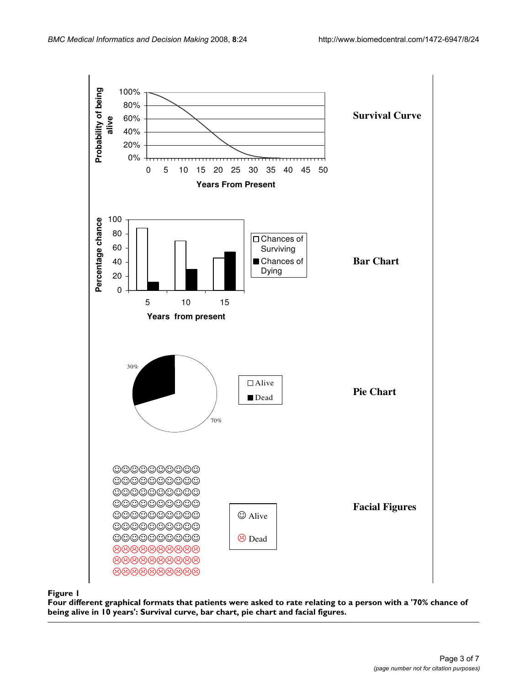

**Four different graphical formats that patients were asked to rate relating to a person with a '70% chance of being alive in 10 years': Survival curve, bar chart, pie chart and facial figures.**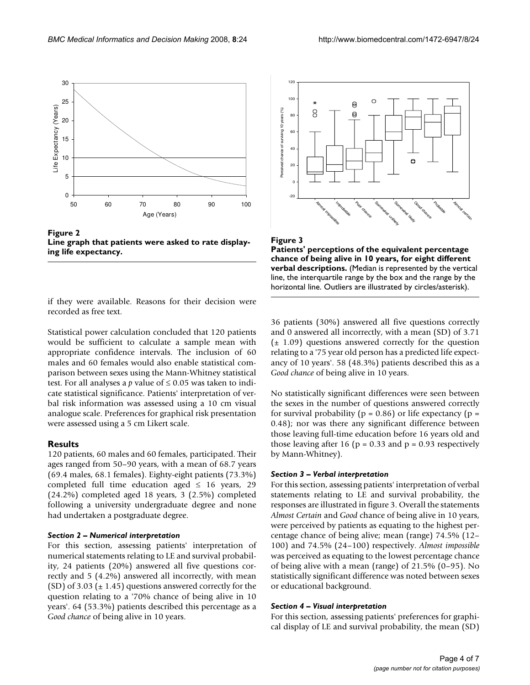

**Figure 2 Line graph that patients were asked to rate displaying life expectancy.**

if they were available. Reasons for their decision were recorded as free text.

Statistical power calculation concluded that 120 patients would be sufficient to calculate a sample mean with appropriate confidence intervals. The inclusion of 60 males and 60 females would also enable statistical comparison between sexes using the Mann-Whitney statistical test. For all analyses a  $p$  value of  $\leq 0.05$  was taken to indicate statistical significance. Patients' interpretation of verbal risk information was assessed using a 10 cm visual analogue scale. Preferences for graphical risk presentation were assessed using a 5 cm Likert scale.

#### **Results**

120 patients, 60 males and 60 females, participated. Their ages ranged from 50–90 years, with a mean of 68.7 years (69.4 males, 68.1 females). Eighty-eight patients (73.3%) completed full time education aged  $\leq$  16 years, 29 (24.2%) completed aged 18 years, 3 (2.5%) completed following a university undergraduate degree and none had undertaken a postgraduate degree.

#### *Section 2 – Numerical interpretation*

For this section, assessing patients' interpretation of numerical statements relating to LE and survival probability, 24 patients (20%) answered all five questions correctly and 5 (4.2%) answered all incorrectly, with mean (SD) of 3.03 ( $\pm$  1.45) questions answered correctly for the question relating to a '70% chance of being alive in 10 years'. 64 (53.3%) patients described this percentage as a *Good chance* of being alive in 10 years.





36 patients (30%) answered all five questions correctly and 0 answered all incorrectly, with a mean (SD) of 3.71  $(\pm 1.09)$  questions answered correctly for the question relating to a '75 year old person has a predicted life expectancy of 10 years'. 58 (48.3%) patients described this as a *Good chance* of being alive in 10 years.

No statistically significant differences were seen between the sexes in the number of questions answered correctly for survival probability ( $p = 0.86$ ) or life expectancy ( $p =$ 0.48); nor was there any significant difference between those leaving full-time education before 16 years old and those leaving after 16 ( $p = 0.33$  and  $p = 0.93$  respectively by Mann-Whitney).

#### *Section 3 – Verbal interpretation*

For this section, assessing patients' interpretation of verbal statements relating to LE and survival probability, the responses are illustrated in figure 3. Overall the statements *Almost Certain* and *Good* chance of being alive in 10 years, were perceived by patients as equating to the highest percentage chance of being alive; mean (range) 74.5% (12– 100) and 74.5% (24–100) respectively. *Almost impossible* was perceived as equating to the lowest percentage chance of being alive with a mean (range) of 21.5% (0–95). No statistically significant difference was noted between sexes or educational background.

#### *Section 4 – Visual interpretation*

For this section, assessing patients' preferences for graphical display of LE and survival probability, the mean (SD)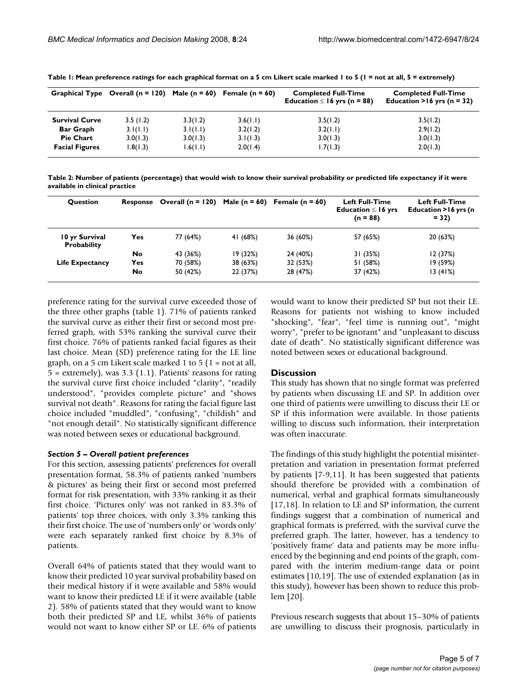|                       | Graphical Type Overall $(n = 120)$ Male $(n = 60)$ Female $(n = 60)$ |          |          | <b>Completed Full-Time</b><br>Education $\leq 16$ yrs (n = 88) | <b>Completed Full-Time</b><br>Education > $16$ yrs (n = 32) |
|-----------------------|----------------------------------------------------------------------|----------|----------|----------------------------------------------------------------|-------------------------------------------------------------|
| <b>Survival Curve</b> | 3.5(1.2)                                                             | 3.3(1.2) | 3.6(1.1) | 3.5(1.2)                                                       | 3.5(1.2)                                                    |
| <b>Bar Graph</b>      | 3.1(1.1)                                                             | 3.1(1.1) | 3.2(1.2) | 3.2(1.1)                                                       | 2.9(1.2)                                                    |
| <b>Pie Chart</b>      | 3.0(1.3)                                                             | 3.0(1.3) | 3.1(1.3) | 3.0(1.3)                                                       | 3.0(1.3)                                                    |
| <b>Facial Figures</b> | 1.8(1.3)                                                             | 1.6(1.1) | 2.0(1.4) | 1.7(1.3)                                                       | 2.0(1.3)                                                    |

**Table 1: Mean preference ratings for each graphical format on a 5 cm Likert scale marked 1 to 5 (1 = not at all, 5 = extremely)**

**Table 2: Number of patients (percentage) that would wish to know their survival probability or predicted life expectancy if it were available in clinical practice**

| <b>Ouestion</b>                      |           | Response Overall $(n = 120)$ | Male ( $n = 60$ ) | Female ( $n = 60$ ) | <b>Left Full-Time</b><br>Education $\leq$ 16 yrs<br>$(n = 88)$ | Left Full-Time<br>Education > 16 yrs (n<br>$= 32$ |
|--------------------------------------|-----------|------------------------------|-------------------|---------------------|----------------------------------------------------------------|---------------------------------------------------|
| 10 yr Survival<br><b>Probability</b> | Yes:      | 77 (64%)                     | 41 (68%)          | 36 (60%)            | 57 (65%)                                                       | 20 (63%)                                          |
|                                      | No        | 43 (36%)                     | 19(32%)           | 24 (40%)            | 31 (35%)                                                       | 12 (37%)                                          |
| <b>Life Expectancy</b>               | Yes.      | 70 (58%)                     | 38 (63%)          | 32 (53%)            | 51 (58%)                                                       | 19 (59%)                                          |
|                                      | <b>No</b> | 50 (42%)                     | 22 (37%)          | 28 (47%)            | 37 (42%)                                                       | 13(41%)                                           |

preference rating for the survival curve exceeded those of the three other graphs (table 1). 71% of patients ranked the survival curve as either their first or second most preferred graph, with 53% ranking the survival curve their first choice. 76% of patients ranked facial figures as their last choice. Mean (SD) preference rating for the LE line graph, on a 5 cm Likert scale marked 1 to 5 ( $1 =$  not at all,  $5 =$  extremely), was 3.3 (1.1). Patients' reasons for rating the survival curve first choice included "clarity", "readily understood", "provides complete picture" and "shows survival not death". Reasons for rating the facial figure last choice included "muddled", "confusing", "childish" and "not enough detail". No statistically significant difference was noted between sexes or educational background.

#### *Section 5 – Overall patient preferences*

For this section, assessing patients' preferences for overall presentation format, 58.3% of patients ranked 'numbers & pictures' as being their first or second most preferred format for risk presentation, with 33% ranking it as their first choice. 'Pictures only' was not ranked in 83.3% of patients' top three choices, with only 3.3% ranking this their first choice. The use of 'numbers only' or 'words only' were each separately ranked first choice by 8.3% of patients.

Overall 64% of patients stated that they would want to know their predicted 10 year survival probability based on their medical history if it were available and 58% would want to know their predicted LE if it were available (table 2). 58% of patients stated that they would want to know both their predicted SP and LE, whilst 36% of patients would not want to know either SP or LE. 6% of patients would want to know their predicted SP but not their LE. Reasons for patients not wishing to know included "shocking", "fear", "feel time is running out", "might worry", "prefer to be ignorant" and "unpleasant to discuss date of death". No statistically significant difference was noted between sexes or educational background.

#### **Discussion**

This study has shown that no single format was preferred by patients when discussing LE and SP. In addition over one third of patients were unwilling to discuss their LE or SP if this information were available. In those patients willing to discuss such information, their interpretation was often inaccurate.

The findings of this study highlight the potential misinterpretation and variation in presentation format preferred by patients [7-9,11]. It has been suggested that patients should therefore be provided with a combination of numerical, verbal and graphical formats simultaneously [17,18]. In relation to LE and SP information, the current findings suggest that a combination of numerical and graphical formats is preferred, with the survival curve the preferred graph. The latter, however, has a tendency to 'positively frame' data and patients may be more influenced by the beginning and end points of the graph, compared with the interim medium-range data or point estimates [10,19]. The use of extended explanation (as in this study), however has been shown to reduce this problem [20].

Previous research suggests that about 15–30% of patients are unwilling to discuss their prognosis, particularly in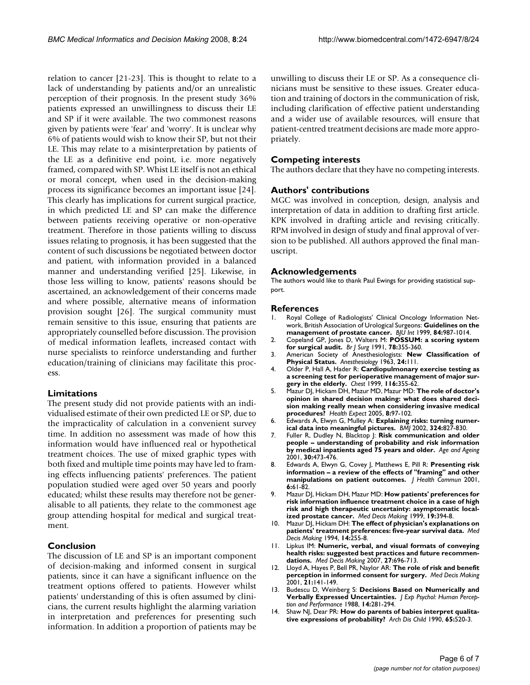relation to cancer [21-23]. This is thought to relate to a lack of understanding by patients and/or an unrealistic perception of their prognosis. In the present study 36% patients expressed an unwillingness to discuss their LE and SP if it were available. The two commonest reasons given by patients were 'fear' and 'worry'. It is unclear why 6% of patients would wish to know their SP, but not their LE. This may relate to a misinterpretation by patients of the LE as a definitive end point, i.e. more negatively framed, compared with SP. Whist LE itself is not an ethical or moral concept, when used in the decision-making process its significance becomes an important issue [24]. This clearly has implications for current surgical practice, in which predicted LE and SP can make the difference between patients receiving operative or non-operative treatment. Therefore in those patients willing to discuss issues relating to prognosis, it has been suggested that the content of such discussions be negotiated between doctor and patient, with information provided in a balanced manner and understanding verified [25]. Likewise, in those less willing to know, patients' reasons should be ascertained, an acknowledgement of their concerns made and where possible, alternative means of information provision sought [26]. The surgical community must remain sensitive to this issue, ensuring that patients are appropriately counselled before discussion. The provision of medical information leaflets, increased contact with nurse specialists to reinforce understanding and further education/training of clinicians may facilitate this process.

#### **Limitations**

The present study did not provide patients with an individualised estimate of their own predicted LE or SP, due to the impracticality of calculation in a convenient survey time. In addition no assessment was made of how this information would have influenced real or hypothetical treatment choices. The use of mixed graphic types with both fixed and multiple time points may have led to framing effects influencing patients' preferences. The patient population studied were aged over 50 years and poorly educated; whilst these results may therefore not be generalisable to all patients, they relate to the commonest age group attending hospital for medical and surgical treatment.

#### **Conclusion**

The discussion of LE and SP is an important component of decision-making and informed consent in surgical patients, since it can have a significant influence on the treatment options offered to patients. However whilst patients' understanding of this is often assumed by clinicians, the current results highlight the alarming variation in interpretation and preferences for presenting such information. In addition a proportion of patients may be

unwilling to discuss their LE or SP. As a consequence clinicians must be sensitive to these issues. Greater education and training of doctors in the communication of risk, including clarification of effective patient understanding and a wider use of available resources, will ensure that patient-centred treatment decisions are made more appropriately.

#### **Competing interests**

The authors declare that they have no competing interests.

#### **Authors' contributions**

MGC was involved in conception, design, analysis and interpretation of data in addition to drafting first article. KPK involved in drafting article and revising critically. RPM involved in design of study and final approval of version to be published. All authors approved the final manuscript.

#### **Acknowledgements**

The authors would like to thank Paul Ewings for providing statistical support.

#### **References**

- 1. Royal College of Radiologists' Clinical Oncology Information Network, British Association of Urological Surgeons: **[Guidelines on the](http://www.ncbi.nlm.nih.gov/entrez/query.fcgi?cmd=Retrieve&db=PubMed&dopt=Abstract&list_uids=10571625) [management of prostate cancer.](http://www.ncbi.nlm.nih.gov/entrez/query.fcgi?cmd=Retrieve&db=PubMed&dopt=Abstract&list_uids=10571625)** *BJU Int* 1999, **84:**987-1014.
- 2. Copeland GP, Jones D, Walters M: **[POSSUM: a scoring system](http://www.ncbi.nlm.nih.gov/entrez/query.fcgi?cmd=Retrieve&db=PubMed&dopt=Abstract&list_uids=2021856) [for surgical audit.](http://www.ncbi.nlm.nih.gov/entrez/query.fcgi?cmd=Retrieve&db=PubMed&dopt=Abstract&list_uids=2021856)** *Br J Surg* 1991, **78:**355-360.
- 3. American Society of Anesthesiologists: **New Classification of Physical Status.** *Anesthesiology* 1963, **24:**111.
- 4. Older P, Hall A, Hader R: **[Cardiopulmonary exercise testing as](http://www.ncbi.nlm.nih.gov/entrez/query.fcgi?cmd=Retrieve&db=PubMed&dopt=Abstract&list_uids=10453862) [a screening test for perioperative management of major sur](http://www.ncbi.nlm.nih.gov/entrez/query.fcgi?cmd=Retrieve&db=PubMed&dopt=Abstract&list_uids=10453862)[gery in the elderly.](http://www.ncbi.nlm.nih.gov/entrez/query.fcgi?cmd=Retrieve&db=PubMed&dopt=Abstract&list_uids=10453862)** *Chest* 1999, **116:**355-62.
- 5. Mazur DJ, Hickam DH, Mazur MD, Mazur MD: **[The role of doctor's](http://www.ncbi.nlm.nih.gov/entrez/query.fcgi?cmd=Retrieve&db=PubMed&dopt=Abstract&list_uids=15860050) [opinion in shared decision making: what does shared deci](http://www.ncbi.nlm.nih.gov/entrez/query.fcgi?cmd=Retrieve&db=PubMed&dopt=Abstract&list_uids=15860050)sion making really mean when considering invasive medical [procedures?](http://www.ncbi.nlm.nih.gov/entrez/query.fcgi?cmd=Retrieve&db=PubMed&dopt=Abstract&list_uids=15860050)** *Health Expect* 2005, **8:**97-102.
- 6. Edwards A, Elwyn G, Mulley A: **[Explaining risks: turning numer](http://www.ncbi.nlm.nih.gov/entrez/query.fcgi?cmd=Retrieve&db=PubMed&dopt=Abstract&list_uids=11934777)[ical data into meaningful pictures.](http://www.ncbi.nlm.nih.gov/entrez/query.fcgi?cmd=Retrieve&db=PubMed&dopt=Abstract&list_uids=11934777)** *BMJ* 2002, **324:**827-830.
- 7. Fuller R, Dudley N, Blacktop J: **Risk communication and older people – understanding of probability and risk information by medical inpatients aged 75 years and older.** *Age and Ageing* 2001, **30:**473-476.
- 8. Edwards A, Elwyn G, Covey J, Matthews E, Pill R: **[Presenting risk](http://www.ncbi.nlm.nih.gov/entrez/query.fcgi?cmd=Retrieve&db=PubMed&dopt=Abstract&list_uids=11317424) [information – a review of the effects of "framing" and other](http://www.ncbi.nlm.nih.gov/entrez/query.fcgi?cmd=Retrieve&db=PubMed&dopt=Abstract&list_uids=11317424) [manipulations on patient outcomes.](http://www.ncbi.nlm.nih.gov/entrez/query.fcgi?cmd=Retrieve&db=PubMed&dopt=Abstract&list_uids=11317424)** *J Health Commun* 2001, **6:**61-82.
- 9. Mazur DJ, Hickam DH, Mazur MD: **[How patients' preferences for](http://www.ncbi.nlm.nih.gov/entrez/query.fcgi?cmd=Retrieve&db=PubMed&dopt=Abstract&list_uids=10520677) [risk information influence treatment choice in a case of high](http://www.ncbi.nlm.nih.gov/entrez/query.fcgi?cmd=Retrieve&db=PubMed&dopt=Abstract&list_uids=10520677) risk and high therapeutic uncertainty: asymptomatic local[ized prostate cancer.](http://www.ncbi.nlm.nih.gov/entrez/query.fcgi?cmd=Retrieve&db=PubMed&dopt=Abstract&list_uids=10520677)** *Med Decis Making* 1999, **19:**394-8.
- 10. Mazur DJ, Hickam DH: **[The effect of physician's explanations on](http://www.ncbi.nlm.nih.gov/entrez/query.fcgi?cmd=Retrieve&db=PubMed&dopt=Abstract&list_uids=7934712) [patients' treatment preferences: five-year survival data.](http://www.ncbi.nlm.nih.gov/entrez/query.fcgi?cmd=Retrieve&db=PubMed&dopt=Abstract&list_uids=7934712)** *Med Decis Making* 1994, **14:**255-8.
- 11. Lipkus IM: **[Numeric, verbal, and visual formats of conveying](http://www.ncbi.nlm.nih.gov/entrez/query.fcgi?cmd=Retrieve&db=PubMed&dopt=Abstract&list_uids=17873259) [health risks: suggested best practices and future recommen](http://www.ncbi.nlm.nih.gov/entrez/query.fcgi?cmd=Retrieve&db=PubMed&dopt=Abstract&list_uids=17873259)[dations.](http://www.ncbi.nlm.nih.gov/entrez/query.fcgi?cmd=Retrieve&db=PubMed&dopt=Abstract&list_uids=17873259)** *Med Decis Making* 2007, **27:**696-713.
- 12. Lloyd A, Hayes P, Bell PR, Naylor AR: **[The role of risk and benefit](http://www.ncbi.nlm.nih.gov/entrez/query.fcgi?cmd=Retrieve&db=PubMed&dopt=Abstract&list_uids=11310947) [perception in informed consent for surgery.](http://www.ncbi.nlm.nih.gov/entrez/query.fcgi?cmd=Retrieve&db=PubMed&dopt=Abstract&list_uids=11310947)** *Med Decis Making* 2001, **21:**141-149.
- 13. Budescu D, Weinberg S: **Decisions Based on Numerically and Verbally Expressed Uncertainties.** *J Exp Psychol: Human Perception and Performance* 1988, **14:**281-294.
- 14. Shaw NJ, Dear PR: **[How do parents of babies interpret qualita](http://www.ncbi.nlm.nih.gov/entrez/query.fcgi?cmd=Retrieve&db=PubMed&dopt=Abstract&list_uids=2357092)[tive expressions of probability?](http://www.ncbi.nlm.nih.gov/entrez/query.fcgi?cmd=Retrieve&db=PubMed&dopt=Abstract&list_uids=2357092)** *Arch Dis Child* 1990, **65:**520-3.